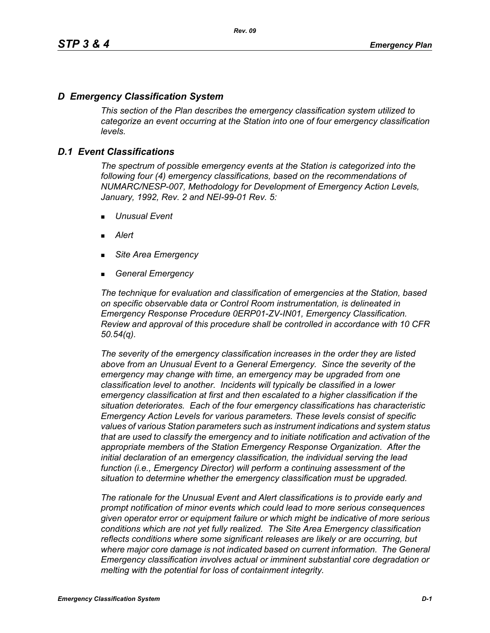# *D Emergency Classification System*

*This section of the Plan describes the emergency classification system utilized to categorize an event occurring at the Station into one of four emergency classification levels.*

# *D.1 Event Classifications*

*The spectrum of possible emergency events at the Station is categorized into the following four (4) emergency classifications, based on the recommendations of NUMARC/NESP-007, Methodology for Development of Emergency Action Levels, January, 1992, Rev. 2 and NEI-99-01 Rev. 5:*

- *Unusual Event*
- *Alert*
- *Site Area Emergency*
- *General Emergency*

*The technique for evaluation and classification of emergencies at the Station, based on specific observable data or Control Room instrumentation, is delineated in Emergency Response Procedure 0ERP01-ZV-IN01, Emergency Classification. Review and approval of this procedure shall be controlled in accordance with 10 CFR 50.54(q).*

*The severity of the emergency classification increases in the order they are listed above from an Unusual Event to a General Emergency. Since the severity of the emergency may change with time, an emergency may be upgraded from one classification level to another. Incidents will typically be classified in a lower emergency classification at first and then escalated to a higher classification if the situation deteriorates. Each of the four emergency classifications has characteristic Emergency Action Levels for various parameters. These levels consist of specific values of various Station parameters such as instrument indications and system status that are used to classify the emergency and to initiate notification and activation of the appropriate members of the Station Emergency Response Organization. After the initial declaration of an emergency classification, the individual serving the lead function (i.e., Emergency Director) will perform a continuing assessment of the situation to determine whether the emergency classification must be upgraded.*

*The rationale for the Unusual Event and Alert classifications is to provide early and prompt notification of minor events which could lead to more serious consequences given operator error or equipment failure or which might be indicative of more serious conditions which are not yet fully realized. The Site Area Emergency classification reflects conditions where some significant releases are likely or are occurring, but*  where major core damage is not indicated based on current information. The General *Emergency classification involves actual or imminent substantial core degradation or melting with the potential for loss of containment integrity.*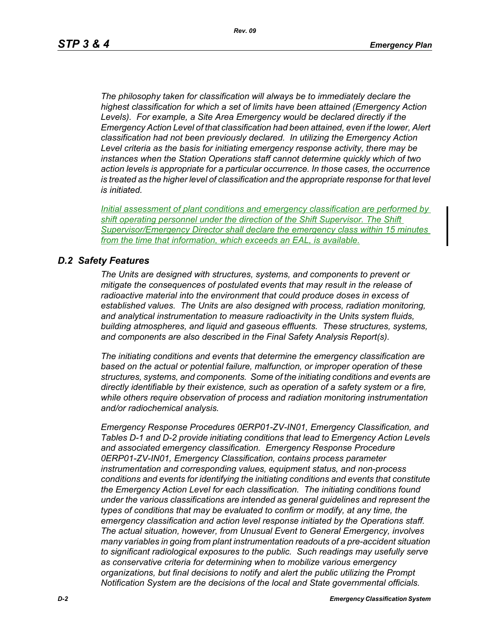*The philosophy taken for classification will always be to immediately declare the highest classification for which a set of limits have been attained (Emergency Action Levels). For example, a Site Area Emergency would be declared directly if the Emergency Action Level of that classification had been attained, even if the lower, Alert classification had not been previously declared. In utilizing the Emergency Action Level criteria as the basis for initiating emergency response activity, there may be instances when the Station Operations staff cannot determine quickly which of two action levels is appropriate for a particular occurrence. In those cases, the occurrence is treated as the higher level of classification and the appropriate response for that level is initiated.*

*Initial assessment of plant conditions and emergency classification are performed by shift operating personnel under the direction of the Shift Supervisor. The Shift Supervisor/Emergency Director shall declare the emergency class within 15 minutes from the time that information, which exceeds an EAL, is available.*

### *D.2 Safety Features*

*The Units are designed with structures, systems, and components to prevent or mitigate the consequences of postulated events that may result in the release of radioactive material into the environment that could produce doses in excess of established values. The Units are also designed with process, radiation monitoring, and analytical instrumentation to measure radioactivity in the Units system fluids, building atmospheres, and liquid and gaseous effluents. These structures, systems, and components are also described in the Final Safety Analysis Report(s).*

*The initiating conditions and events that determine the emergency classification are based on the actual or potential failure, malfunction, or improper operation of these structures, systems, and components. Some of the initiating conditions and events are directly identifiable by their existence, such as operation of a safety system or a fire, while others require observation of process and radiation monitoring instrumentation and/or radiochemical analysis.*

*Emergency Response Procedures 0ERP01-ZV-IN01, Emergency Classification, and Tables D-1 and D-2 provide initiating conditions that lead to Emergency Action Levels and associated emergency classification. Emergency Response Procedure 0ERP01-ZV-IN01, Emergency Classification, contains process parameter instrumentation and corresponding values, equipment status, and non-process conditions and events for identifying the initiating conditions and events that constitute the Emergency Action Level for each classification. The initiating conditions found under the various classifications are intended as general guidelines and represent the types of conditions that may be evaluated to confirm or modify, at any time, the emergency classification and action level response initiated by the Operations staff. The actual situation, however, from Unusual Event to General Emergency, involves many variables in going from plant instrumentation readouts of a pre-accident situation to significant radiological exposures to the public. Such readings may usefully serve as conservative criteria for determining when to mobilize various emergency organizations, but final decisions to notify and alert the public utilizing the Prompt Notification System are the decisions of the local and State governmental officials.*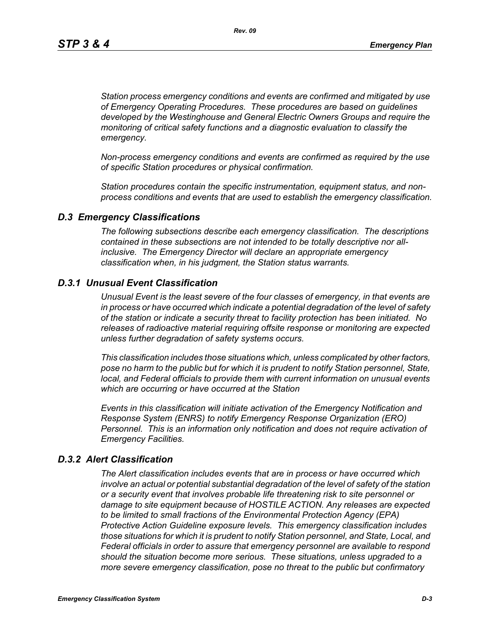*Station process emergency conditions and events are confirmed and mitigated by use of Emergency Operating Procedures. These procedures are based on guidelines developed by the Westinghouse and General Electric Owners Groups and require the monitoring of critical safety functions and a diagnostic evaluation to classify the emergency.*

*Non-process emergency conditions and events are confirmed as required by the use of specific Station procedures or physical confirmation.*

*Station procedures contain the specific instrumentation, equipment status, and nonprocess conditions and events that are used to establish the emergency classification.*

#### *D.3 Emergency Classifications*

*The following subsections describe each emergency classification. The descriptions contained in these subsections are not intended to be totally descriptive nor allinclusive. The Emergency Director will declare an appropriate emergency classification when, in his judgment, the Station status warrants.*

### *D.3.1 Unusual Event Classification*

*Unusual Event is the least severe of the four classes of emergency, in that events are in process or have occurred which indicate a potential degradation of the level of safety of the station or indicate a security threat to facility protection has been initiated. No releases of radioactive material requiring offsite response or monitoring are expected unless further degradation of safety systems occurs.*

*This classification includes those situations which, unless complicated by other factors, pose no harm to the public but for which it is prudent to notify Station personnel, State, local, and Federal officials to provide them with current information on unusual events which are occurring or have occurred at the Station*

*Events in this classification will initiate activation of the Emergency Notification and Response System (ENRS) to notify Emergency Response Organization (ERO) Personnel. This is an information only notification and does not require activation of Emergency Facilities.* 

#### *D.3.2 Alert Classification*

*The Alert classification includes events that are in process or have occurred which involve an actual or potential substantial degradation of the level of safety of the station or a security event that involves probable life threatening risk to site personnel or damage to site equipment because of HOSTILE ACTION. Any releases are expected to be limited to small fractions of the Environmental Protection Agency (EPA) Protective Action Guideline exposure levels. This emergency classification includes those situations for which it is prudent to notify Station personnel, and State, Local, and Federal officials in order to assure that emergency personnel are available to respond should the situation become more serious. These situations, unless upgraded to a more severe emergency classification, pose no threat to the public but confirmatory*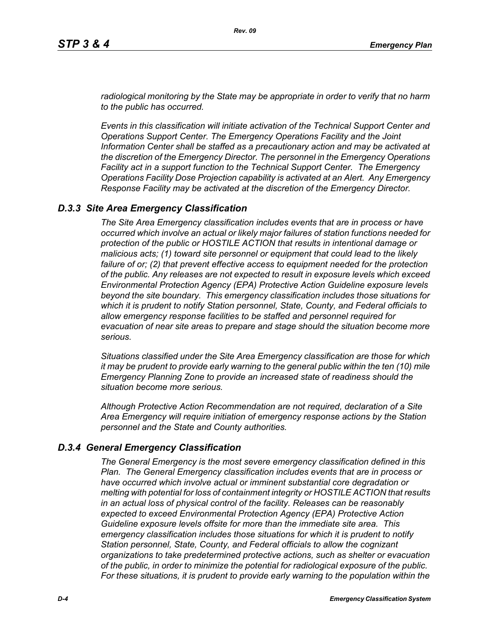*radiological monitoring by the State may be appropriate in order to verify that no harm to the public has occurred.*

*Events in this classification will initiate activation of the Technical Support Center and Operations Support Center. The Emergency Operations Facility and the Joint Information Center shall be staffed as a precautionary action and may be activated at the discretion of the Emergency Director. The personnel in the Emergency Operations Facility act in a support function to the Technical Support Center. The Emergency Operations Facility Dose Projection capability is activated at an Alert. Any Emergency Response Facility may be activated at the discretion of the Emergency Director.*

### *D.3.3 Site Area Emergency Classification*

*The Site Area Emergency classification includes events that are in process or have occurred which involve an actual or likely major failures of station functions needed for protection of the public or HOSTILE ACTION that results in intentional damage or malicious acts; (1) toward site personnel or equipment that could lead to the likely failure of or; (2) that prevent effective access to equipment needed for the protection of the public. Any releases are not expected to result in exposure levels which exceed Environmental Protection Agency (EPA) Protective Action Guideline exposure levels beyond the site boundary. This emergency classification includes those situations for which it is prudent to notify Station personnel, State, County, and Federal officials to allow emergency response facilities to be staffed and personnel required for evacuation of near site areas to prepare and stage should the situation become more serious.* 

*Situations classified under the Site Area Emergency classification are those for which it may be prudent to provide early warning to the general public within the ten (10) mile Emergency Planning Zone to provide an increased state of readiness should the situation become more serious.*

*Although Protective Action Recommendation are not required, declaration of a Site Area Emergency will require initiation of emergency response actions by the Station personnel and the State and County authorities.*

### *D.3.4 General Emergency Classification*

*The General Emergency is the most severe emergency classification defined in this Plan. The General Emergency classification includes events that are in process or have occurred which involve actual or imminent substantial core degradation or melting with potential for loss of containment integrity or HOSTILE ACTION that results in an actual loss of physical control of the facility. Releases can be reasonably expected to exceed Environmental Protection Agency (EPA) Protective Action Guideline exposure levels offsite for more than the immediate site area. This emergency classification includes those situations for which it is prudent to notify Station personnel, State, County, and Federal officials to allow the cognizant organizations to take predetermined protective actions, such as shelter or evacuation of the public, in order to minimize the potential for radiological exposure of the public. For these situations, it is prudent to provide early warning to the population within the*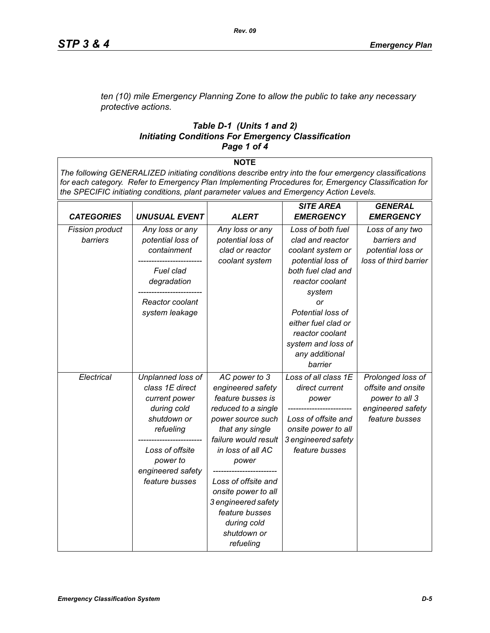*ten (10) mile Emergency Planning Zone to allow the public to take any necessary protective actions.*

#### *Table D-1 (Units 1 and 2) Initiating Conditions For Emergency Classification Page 1 of 4*

**NOTE**

*The following GENERALIZED initiating conditions describe entry into the four emergency classifications for each category. Refer to Emergency Plan Implementing Procedures for, Emergency Classification for the SPECIFIC initiating conditions, plant parameter values and Emergency Action Levels.*

|                        |                      |                      | <b>SITE AREA</b>     | <b>GENERAL</b>        |
|------------------------|----------------------|----------------------|----------------------|-----------------------|
| <b>CATEGORIES</b>      | <b>UNUSUAL EVENT</b> | <b>ALERT</b>         | <b>EMERGENCY</b>     | <b>EMERGENCY</b>      |
| <b>Fission product</b> | Any loss or any      | Any loss or any      | Loss of both fuel    | Loss of any two       |
| barriers               | potential loss of    | potential loss of    | clad and reactor     | barriers and          |
|                        | containment          | clad or reactor      | coolant system or    | potential loss or     |
|                        |                      | coolant system       | potential loss of    | loss of third barrier |
|                        | Fuel clad            |                      | both fuel clad and   |                       |
|                        | degradation          |                      | reactor coolant      |                       |
|                        |                      |                      | system               |                       |
|                        | Reactor coolant      |                      | or                   |                       |
|                        | system leakage       |                      | Potential loss of    |                       |
|                        |                      |                      | either fuel clad or  |                       |
|                        |                      |                      | reactor coolant      |                       |
|                        |                      |                      | system and loss of   |                       |
|                        |                      |                      | any additional       |                       |
|                        |                      |                      | barrier              |                       |
| Electrical             | Unplanned loss of    | AC power to 3        | Loss of all class 1E | Prolonged loss of     |
|                        | class 1E direct      | engineered safety    | direct current       | offsite and onsite    |
|                        | current power        | feature busses is    | power                | power to all 3        |
|                        | during cold          | reduced to a single  |                      | engineered safety     |
|                        | shutdown or          | power source such    | Loss of offsite and  | feature busses        |
|                        | refueling            | that any single      | onsite power to all  |                       |
|                        |                      | failure would result | 3 engineered safety  |                       |
|                        | Loss of offsite      | in loss of all AC    | feature busses       |                       |
|                        | power to             | power                |                      |                       |
|                        | engineered safety    |                      |                      |                       |
|                        | feature busses       | Loss of offsite and  |                      |                       |
|                        |                      | onsite power to all  |                      |                       |
|                        |                      | 3 engineered safety  |                      |                       |
|                        |                      | feature busses       |                      |                       |
|                        |                      | during cold          |                      |                       |
|                        |                      | shutdown or          |                      |                       |
|                        |                      | refueling            |                      |                       |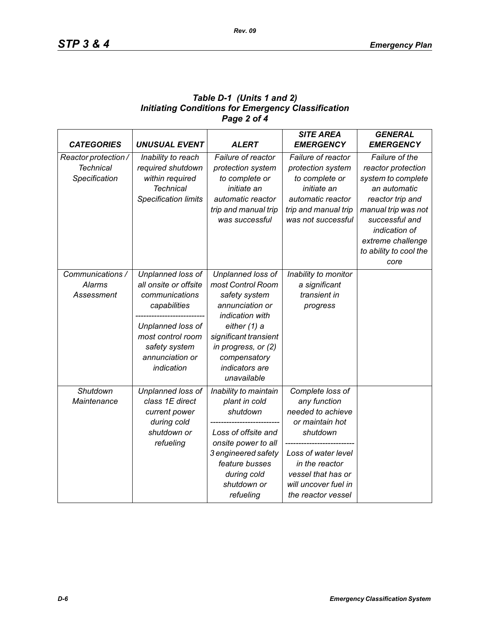# *Table D-1 (Units 1 and 2) Initiating Conditions for Emergency Classification Page 2 of 4*

| <b>CATEGORIES</b>    | <b>UNUSUAL EVENT</b>        | <b>ALERT</b>          | <b>SITE AREA</b><br><b>EMERGENCY</b> | <b>GENERAL</b><br><b>EMERGENCY</b> |
|----------------------|-----------------------------|-----------------------|--------------------------------------|------------------------------------|
| Reactor protection / | Inability to reach          | Failure of reactor    | Failure of reactor                   | Failure of the                     |
| <b>Technical</b>     | required shutdown           | protection system     | protection system                    | reactor protection                 |
| Specification        | within required             | to complete or        | to complete or                       | system to complete                 |
|                      | <b>Technical</b>            | initiate an           | initiate an                          | an automatic                       |
|                      | <b>Specification limits</b> | automatic reactor     | automatic reactor                    | reactor trip and                   |
|                      |                             | trip and manual trip  | trip and manual trip                 | manual trip was not                |
|                      |                             | was successful        | was not successful                   | successful and                     |
|                      |                             |                       |                                      | indication of                      |
|                      |                             |                       |                                      | extreme challenge                  |
|                      |                             |                       |                                      | to ability to cool the             |
|                      |                             |                       |                                      | core                               |
| Communications /     | Unplanned loss of           | Unplanned loss of     | Inability to monitor                 |                                    |
| <b>Alarms</b>        | all onsite or offsite       | most Control Room     | a significant                        |                                    |
| Assessment           | communications              | safety system         | transient in                         |                                    |
|                      | capabilities                | annunciation or       | progress                             |                                    |
|                      |                             | indication with       |                                      |                                    |
|                      | Unplanned loss of           | either (1) a          |                                      |                                    |
|                      | most control room           | significant transient |                                      |                                    |
|                      | safety system               | in progress, or (2)   |                                      |                                    |
|                      | annunciation or             | compensatory          |                                      |                                    |
|                      | indication                  | indicators are        |                                      |                                    |
|                      |                             | unavailable           |                                      |                                    |
| Shutdown             | Unplanned loss of           | Inability to maintain | Complete loss of                     |                                    |
| Maintenance          | class 1E direct             | plant in cold         | any function                         |                                    |
|                      | current power               | shutdown              | needed to achieve                    |                                    |
|                      | during cold                 |                       | or maintain hot                      |                                    |
|                      | shutdown or                 | Loss of offsite and   | shutdown                             |                                    |
|                      | refueling                   | onsite power to all   |                                      |                                    |
|                      |                             | 3 engineered safety   | Loss of water level                  |                                    |
|                      |                             | feature busses        | in the reactor                       |                                    |
|                      |                             | during cold           | vessel that has or                   |                                    |
|                      |                             | shutdown or           | will uncover fuel in                 |                                    |
|                      |                             | refueling             | the reactor vessel                   |                                    |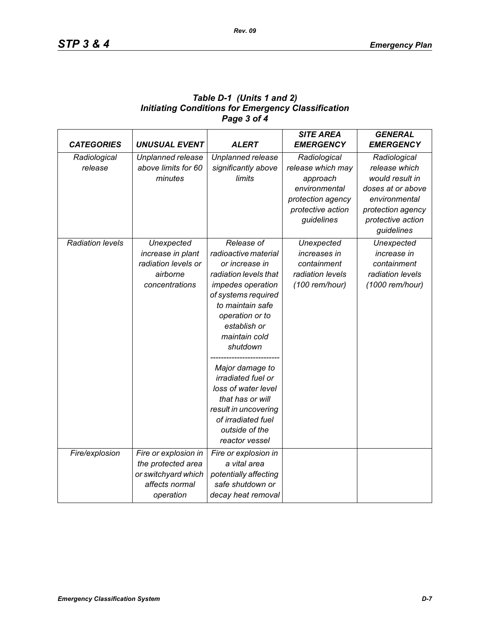| Table D-1 (Units 1 and 2)                                 |
|-----------------------------------------------------------|
| <b>Initiating Conditions for Emergency Classification</b> |
| Page 3 of 4                                               |

| <b>CATEGORIES</b>       | <b>UNUSUAL EVENT</b> | <b>ALERT</b>              | <b>SITE AREA</b><br><b>EMERGENCY</b> | <b>GENERAL</b><br><b>EMERGENCY</b> |
|-------------------------|----------------------|---------------------------|--------------------------------------|------------------------------------|
| Radiological            | Unplanned release    | Unplanned release         | Radiological                         | Radiological                       |
| release                 | above limits for 60  | significantly above       | release which may                    | release which                      |
|                         | minutes              | limits                    | approach                             | would result in                    |
|                         |                      |                           | environmental                        | doses at or above                  |
|                         |                      |                           | protection agency                    | environmental                      |
|                         |                      |                           | protective action                    | protection agency                  |
|                         |                      |                           | guidelines                           | protective action                  |
|                         |                      |                           |                                      | guidelines                         |
| <b>Radiation levels</b> | Unexpected           | Release of                | Unexpected                           | Unexpected                         |
|                         | increase in plant    | radioactive material      | increases in                         | increase in                        |
|                         | radiation levels or  | or increase in            | containment                          | containment                        |
|                         | airborne             | radiation levels that     | radiation levels                     | radiation levels                   |
|                         | concentrations       | impedes operation         | (100 rem/hour)                       | (1000 rem/hour)                    |
|                         |                      | of systems required       |                                      |                                    |
|                         |                      | to maintain safe          |                                      |                                    |
|                         |                      | operation or to           |                                      |                                    |
|                         |                      | establish or              |                                      |                                    |
|                         |                      | maintain cold             |                                      |                                    |
|                         |                      | shutdown                  |                                      |                                    |
|                         |                      | Major damage to           |                                      |                                    |
|                         |                      | <i>irradiated fuel or</i> |                                      |                                    |
|                         |                      | loss of water level       |                                      |                                    |
|                         |                      | that has or will          |                                      |                                    |
|                         |                      | result in uncovering      |                                      |                                    |
|                         |                      | of irradiated fuel        |                                      |                                    |
|                         |                      | outside of the            |                                      |                                    |
|                         |                      | reactor vessel            |                                      |                                    |
| Fire/explosion          | Fire or explosion in | Fire or explosion in      |                                      |                                    |
|                         | the protected area   | a vital area              |                                      |                                    |
|                         | or switchyard which  | potentially affecting     |                                      |                                    |
|                         | affects normal       | safe shutdown or          |                                      |                                    |
|                         | operation            | decay heat removal        |                                      |                                    |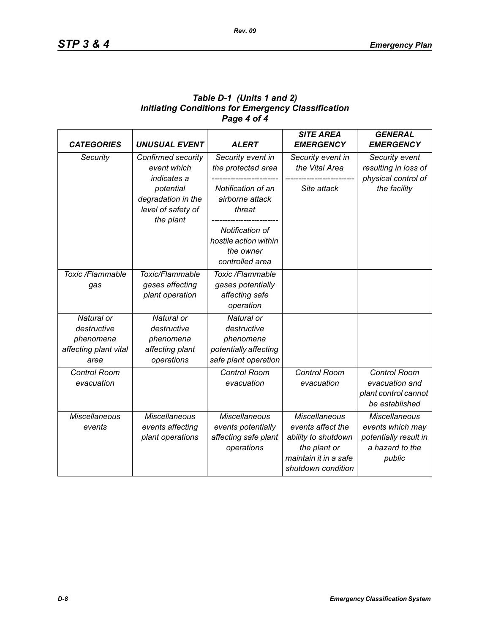# *Table D-1 (Units 1 and 2) Initiating Conditions for Emergency Classification Page 4 of 4*

| <b>CATEGORIES</b>                                                       | <b>UNUSUAL EVENT</b>                                                    | <b>ALERT</b>                                                                            | <b>SITE AREA</b><br><b>EMERGENCY</b>                                                                                            | <b>GENERAL</b><br><b>EMERGENCY</b>                                                             |
|-------------------------------------------------------------------------|-------------------------------------------------------------------------|-----------------------------------------------------------------------------------------|---------------------------------------------------------------------------------------------------------------------------------|------------------------------------------------------------------------------------------------|
| Security                                                                | Confirmed security<br>event which<br>indicates a                        | Security event in<br>the protected area                                                 | Security event in<br>the Vital Area                                                                                             | Security event<br>resulting in loss of<br>physical control of                                  |
|                                                                         | potential<br>degradation in the<br>level of safety of<br>the plant      | Notification of an<br>airborne attack<br>threat                                         | Site attack                                                                                                                     | the facility                                                                                   |
|                                                                         |                                                                         | Notification of<br>hostile action within<br>the owner<br>controlled area                |                                                                                                                                 |                                                                                                |
| Toxic /Flammable<br>gas                                                 | Toxic/Flammable<br>gases affecting<br>plant operation                   | Toxic /Flammable<br>gases potentially<br>affecting safe<br>operation                    |                                                                                                                                 |                                                                                                |
| Natural or<br>destructive<br>phenomena<br>affecting plant vital<br>area | Natural or<br>destructive<br>phenomena<br>affecting plant<br>operations | Natural or<br>destructive<br>phenomena<br>potentially affecting<br>safe plant operation |                                                                                                                                 |                                                                                                |
| Control Room<br>evacuation                                              |                                                                         | <b>Control Room</b><br>evacuation                                                       | <b>Control Room</b><br>evacuation                                                                                               | <b>Control Room</b><br>evacuation and<br>plant control cannot<br>be established                |
| <b>Miscellaneous</b><br>events                                          | <b>Miscellaneous</b><br>events affecting<br>plant operations            | <b>Miscellaneous</b><br>events potentially<br>affecting safe plant<br>operations        | <b>Miscellaneous</b><br>events affect the<br>ability to shutdown<br>the plant or<br>maintain it in a safe<br>shutdown condition | <b>Miscellaneous</b><br>events which may<br>potentially result in<br>a hazard to the<br>public |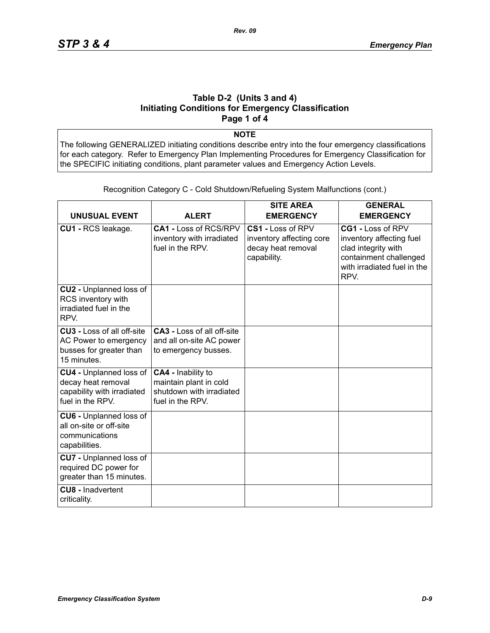### **Table D-2 (Units 3 and 4) Initiating Conditions for Emergency Classification Page 1 of 4**

**NOTE**

The following GENERALIZED initiating conditions describe entry into the four emergency classifications for each category. Refer to Emergency Plan Implementing Procedures for Emergency Classification for the SPECIFIC initiating conditions, plant parameter values and Emergency Action Levels.

| <b>UNUSUAL EVENT</b>                                                                                 | <b>ALERT</b>                                                                                 | <b>SITE AREA</b><br><b>EMERGENCY</b>                                               | <b>GENERAL</b><br><b>EMERGENCY</b>                                                                                                    |
|------------------------------------------------------------------------------------------------------|----------------------------------------------------------------------------------------------|------------------------------------------------------------------------------------|---------------------------------------------------------------------------------------------------------------------------------------|
| CU1 - RCS leakage.                                                                                   | CA1 - Loss of RCS/RPV<br>inventory with irradiated<br>fuel in the RPV.                       | CS1 - Loss of RPV<br>inventory affecting core<br>decay heat removal<br>capability. | CG1 - Loss of RPV<br>inventory affecting fuel<br>clad integrity with<br>containment challenged<br>with irradiated fuel in the<br>RPV. |
| CU2 - Unplanned loss of<br>RCS inventory with<br>irradiated fuel in the<br>RPV.                      |                                                                                              |                                                                                    |                                                                                                                                       |
| <b>CU3 - Loss of all off-site</b><br>AC Power to emergency<br>busses for greater than<br>15 minutes. | <b>CA3 - Loss of all off-site</b><br>and all on-site AC power<br>to emergency busses.        |                                                                                    |                                                                                                                                       |
| CU4 - Unplanned loss of<br>decay heat removal<br>capability with irradiated<br>fuel in the RPV.      | CA4 - Inability to<br>maintain plant in cold<br>shutdown with irradiated<br>fuel in the RPV. |                                                                                    |                                                                                                                                       |
| <b>CU6 - Unplanned loss of</b><br>all on-site or off-site<br>communications<br>capabilities.         |                                                                                              |                                                                                    |                                                                                                                                       |
| <b>CU7</b> - Unplanned loss of<br>required DC power for<br>greater than 15 minutes.                  |                                                                                              |                                                                                    |                                                                                                                                       |
| <b>CU8 - Inadvertent</b><br>criticality.                                                             |                                                                                              |                                                                                    |                                                                                                                                       |

Recognition Category C - Cold Shutdown/Refueling System Malfunctions (cont.)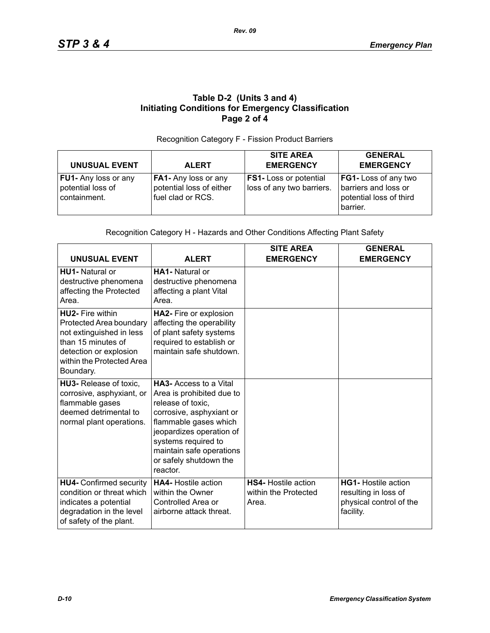# **Table D-2 (Units 3 and 4) Initiating Conditions for Emergency Classification Page 2 of 4**

#### Recognition Category F - Fission Product Barriers

| <b>UNUSUAL EVENT</b>                                             | <b>ALERT</b>                                                          | <b>SITE AREA</b><br><b>EMERGENCY</b>                       | <b>GENERAL</b><br><b>EMERGENCY</b>                                                  |
|------------------------------------------------------------------|-----------------------------------------------------------------------|------------------------------------------------------------|-------------------------------------------------------------------------------------|
| <b>FU1-</b> Any loss or any<br>potential loss of<br>containment. | FA1- Any loss or any<br>potential loss of either<br>fuel clad or RCS. | <b>FS1-</b> Loss or potential<br>loss of any two barriers. | FG1- Loss of any two<br>barriers and loss or<br>potential loss of third<br>barrier. |

#### Recognition Category H - Hazards and Other Conditions Affecting Plant Safety

| <b>UNUSUAL EVENT</b>                                                                                                                                                     | <b>ALERT</b>                                                                                                                                                                                                                                              | <b>SITE AREA</b><br><b>EMERGENCY</b>                        | <b>GENERAL</b><br><b>EMERGENCY</b>                                                         |
|--------------------------------------------------------------------------------------------------------------------------------------------------------------------------|-----------------------------------------------------------------------------------------------------------------------------------------------------------------------------------------------------------------------------------------------------------|-------------------------------------------------------------|--------------------------------------------------------------------------------------------|
| HU1- Natural or<br>destructive phenomena<br>affecting the Protected<br>Area.                                                                                             | <b>HA1-</b> Natural or<br>destructive phenomena<br>affecting a plant Vital<br>Area.                                                                                                                                                                       |                                                             |                                                                                            |
| <b>HU2-</b> Fire within<br>Protected Area boundary<br>not extinguished in less<br>than 15 minutes of<br>detection or explosion<br>within the Protected Area<br>Boundary. | HA2- Fire or explosion<br>affecting the operability<br>of plant safety systems<br>required to establish or<br>maintain safe shutdown.                                                                                                                     |                                                             |                                                                                            |
| HU3- Release of toxic,<br>corrosive, asphyxiant, or<br>flammable gases<br>deemed detrimental to<br>normal plant operations.                                              | <b>HA3-</b> Access to a Vital<br>Area is prohibited due to<br>release of toxic,<br>corrosive, asphyxiant or<br>flammable gases which<br>jeopardizes operation of<br>systems required to<br>maintain safe operations<br>or safely shutdown the<br>reactor. |                                                             |                                                                                            |
| <b>HU4- Confirmed security</b><br>condition or threat which<br>indicates a potential<br>degradation in the level<br>of safety of the plant.                              | <b>HA4-</b> Hostile action<br>within the Owner<br>Controlled Area or<br>airborne attack threat.                                                                                                                                                           | <b>HS4-</b> Hostile action<br>within the Protected<br>Area. | <b>HG1-</b> Hostile action<br>resulting in loss of<br>physical control of the<br>facility. |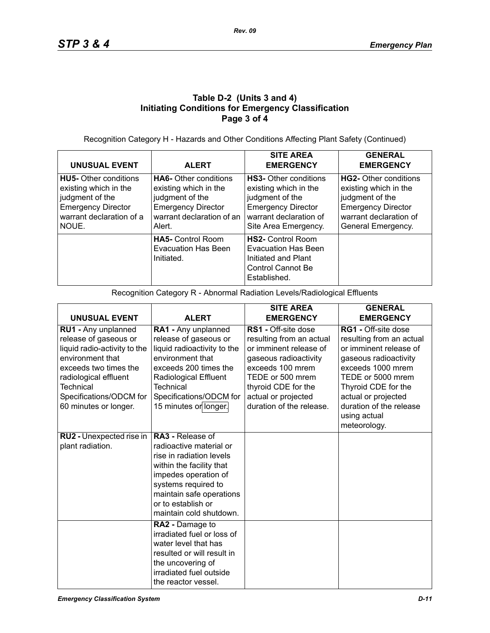# **Table D-2 (Units 3 and 4) Initiating Conditions for Emergency Classification Page 3 of 4**

Recognition Category H - Hazards and Other Conditions Affecting Plant Safety (Continued)

| <b>UNUSUAL EVENT</b>                                                                                                                       | <b>ALERT</b>                                                                                                                                 | <b>SITE AREA</b><br><b>EMERGENCY</b>                                                                                                                    | <b>GENERAL</b><br><b>EMERGENCY</b>                                                                                                             |
|--------------------------------------------------------------------------------------------------------------------------------------------|----------------------------------------------------------------------------------------------------------------------------------------------|---------------------------------------------------------------------------------------------------------------------------------------------------------|------------------------------------------------------------------------------------------------------------------------------------------------|
| <b>HU5-</b> Other conditions<br>existing which in the<br>judgment of the<br><b>Emergency Director</b><br>warrant declaration of a<br>NOUE. | <b>HA6-</b> Other conditions<br>existing which in the<br>judgment of the<br><b>Emergency Director</b><br>warrant declaration of an<br>Alert. | <b>HS3-</b> Other conditions<br>existing which in the<br>judgment of the<br><b>Emergency Director</b><br>warrant declaration of<br>Site Area Emergency. | HG2- Other conditions<br>existing which in the<br>judgment of the<br><b>Emergency Director</b><br>warrant declaration of<br>General Emergency. |
|                                                                                                                                            | <b>HA5-</b> Control Room<br><b>Evacuation Has Been</b><br>Initiated.                                                                         | <b>HS2-</b> Control Room<br>Evacuation Has Been<br>Initiated and Plant<br>Control Cannot Be<br>Established.                                             |                                                                                                                                                |

Recognition Category R - Abnormal Radiation Levels/Radiological Effluents

|                                                                                                                                                                                                                            |                                                                                                                                                                                                                                  | <b>SITE AREA</b>                                                                                                                                                                                                            | <b>GENERAL</b>                                                                                                                                                                                                                                               |
|----------------------------------------------------------------------------------------------------------------------------------------------------------------------------------------------------------------------------|----------------------------------------------------------------------------------------------------------------------------------------------------------------------------------------------------------------------------------|-----------------------------------------------------------------------------------------------------------------------------------------------------------------------------------------------------------------------------|--------------------------------------------------------------------------------------------------------------------------------------------------------------------------------------------------------------------------------------------------------------|
| <b>UNUSUAL EVENT</b>                                                                                                                                                                                                       | <b>ALERT</b>                                                                                                                                                                                                                     | <b>EMERGENCY</b>                                                                                                                                                                                                            | <b>EMERGENCY</b>                                                                                                                                                                                                                                             |
| RU1 - Any unplanned<br>release of gaseous or<br>liquid radio-activity to the<br>environment that<br>exceeds two times the<br>radiological effluent<br><b>Technical</b><br>Specifications/ODCM for<br>60 minutes or longer. | RA1 - Any unplanned<br>release of gaseous or<br>liquid radioactivity to the<br>environment that<br>exceeds 200 times the<br><b>Radiological Effluent</b><br><b>Technical</b><br>Specifications/ODCM for<br>15 minutes or longer. | <b>RS1</b> - Off-site dose<br>resulting from an actual<br>or imminent release of<br>gaseous radioactivity<br>exceeds 100 mrem<br>TEDE or 500 mrem<br>thyroid CDE for the<br>actual or projected<br>duration of the release. | <b>RG1 - Off-site dose</b><br>resulting from an actual<br>or imminent release of<br>gaseous radioactivity<br>exceeds 1000 mrem<br>TEDE or 5000 mrem<br>Thyroid CDE for the<br>actual or projected<br>duration of the release<br>using actual<br>meteorology. |
| RU2 - Unexpected rise in<br>plant radiation.                                                                                                                                                                               | RA3 - Release of<br>radioactive material or<br>rise in radiation levels<br>within the facility that<br>impedes operation of<br>systems required to<br>maintain safe operations<br>or to establish or<br>maintain cold shutdown.  |                                                                                                                                                                                                                             |                                                                                                                                                                                                                                                              |
|                                                                                                                                                                                                                            | RA2 - Damage to<br>irradiated fuel or loss of<br>water level that has<br>resulted or will result in<br>the uncovering of<br>irradiated fuel outside<br>the reactor vessel.                                                       |                                                                                                                                                                                                                             |                                                                                                                                                                                                                                                              |